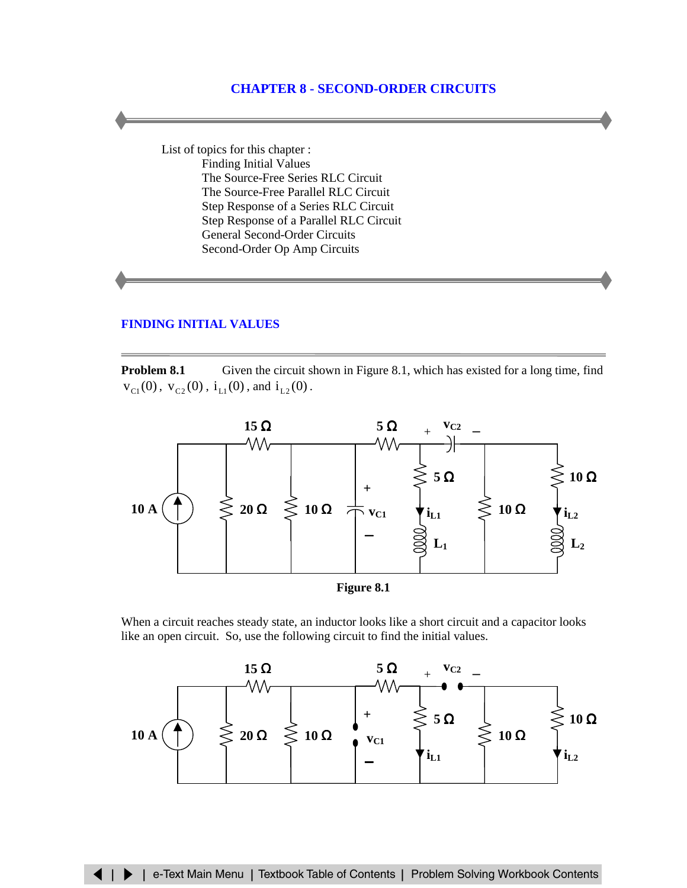## **CHAPTER 8 - SECOND-ORDER CIRCUITS**

List of topics for this chapter : Finding Initial Values [The Source-Free Series RLC Circuit](#page-2-0) [The Source-Free Parallel RLC Circuit](#page-6-0) [Step Response of a Series RLC Circuit](#page-12-0) [Step Response of a Parallel RLC Circuit](#page-14-0) [General Second-Order Circuits](#page-20-0) [Second-Order Op Amp Circuits](#page-26-0)

## **[FINDING INITIAL VALUES](#page-1-0)**

**Problem 8.1** Given the circuit shown in Figure 8.1, which has existed for a long time, find  $v_{C1}(0)$ ,  $v_{C2}(0)$ ,  $i_{L1}(0)$ , and  $i_{L2}(0)$ .



When a circuit reaches steady state, an inductor looks like a short circuit and a capacitor looks like an open circuit. So, use the following circuit to find the initial values.

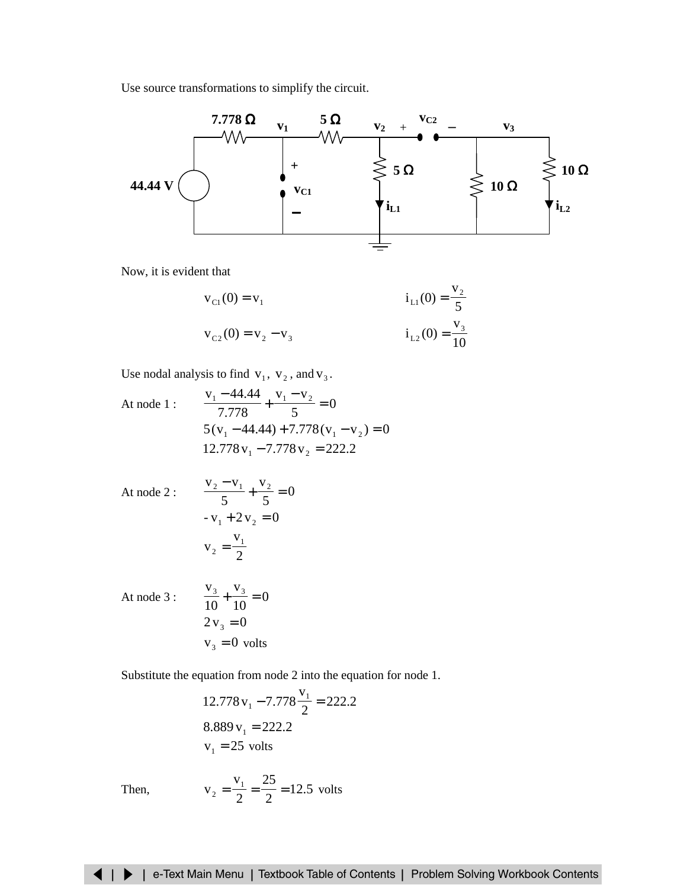<span id="page-1-0"></span>Use source transformations to simplify the circuit.



Now, it is evident that

$$
v_{C1}(0) = v_1
$$
  
\n
$$
i_{L1}(0) = \frac{v_2}{5}
$$
  
\n
$$
v_{C2}(0) = v_2 - v_3
$$
  
\n
$$
i_{L2}(0) = \frac{v_3}{10}
$$

Use nodal analysis to find  $v_1$ ,  $v_2$ , and  $v_3$ .

At node 1 : 
$$
\frac{v_1 - 44.44}{7.778} + \frac{v_1 - v_2}{5} = 0
$$

$$
5(v_1 - 44.44) + 7.778(v_1 - v_2) = 0
$$

$$
12.778v_1 - 7.778v_2 = 222.2
$$

At node 2 : 
$$
\frac{v_2 - v_1}{5} + \frac{v_2}{5} = 0
$$

$$
-v_1 + 2v_2 = 0
$$

$$
v_2 = \frac{v_1}{2}
$$

At node 3 : 
$$
\frac{v_3}{10} + \frac{v_3}{10} = 0
$$

$$
2v_3 = 0
$$

$$
v_3 = 0 \text{ volts}
$$

Substitute the equation from node 2 into the equation for node 1.

$$
12.778 v1 - 7.778 \frac{v1}{2} = 222.2
$$
  
8.889 v<sub>1</sub> = 222.2  
v<sub>1</sub> = 25 volts

Then,

$$
v_2 = \frac{v_1}{2} = \frac{25}{2} = 12.5
$$
 volts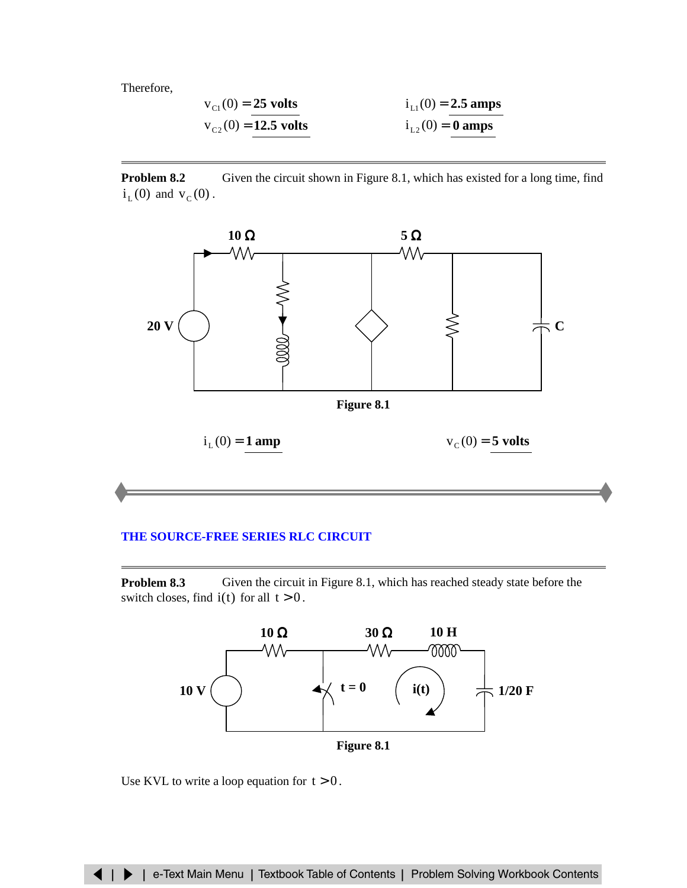<span id="page-2-0"></span>Therefore,

$$
v_{C1}(0) = 25 \text{ volts}
$$
  
\n $i_{L1}(0) = 2.5 \text{ amps}$   
\n $v_{C2}(0) = 12.5 \text{ volts}$   
\n $i_{L2}(0) = 0 \text{ amps}$ 

**Problem 8.2** Given the circuit shown in Figure 8.1, which has existed for a long time, find  $i_{\rm L}$  (0) and  $v_{\rm C}$  (0).



### **[THE SOURCE-FREE SERIES RLC CIRCUIT](#page-6-0)**

**Problem 8.3** Given the circuit in Figure 8.1, which has reached steady state before the switch closes, find  $i(t)$  for all  $t > 0$ .



Use KVL to write a loop equation for  $t > 0$ .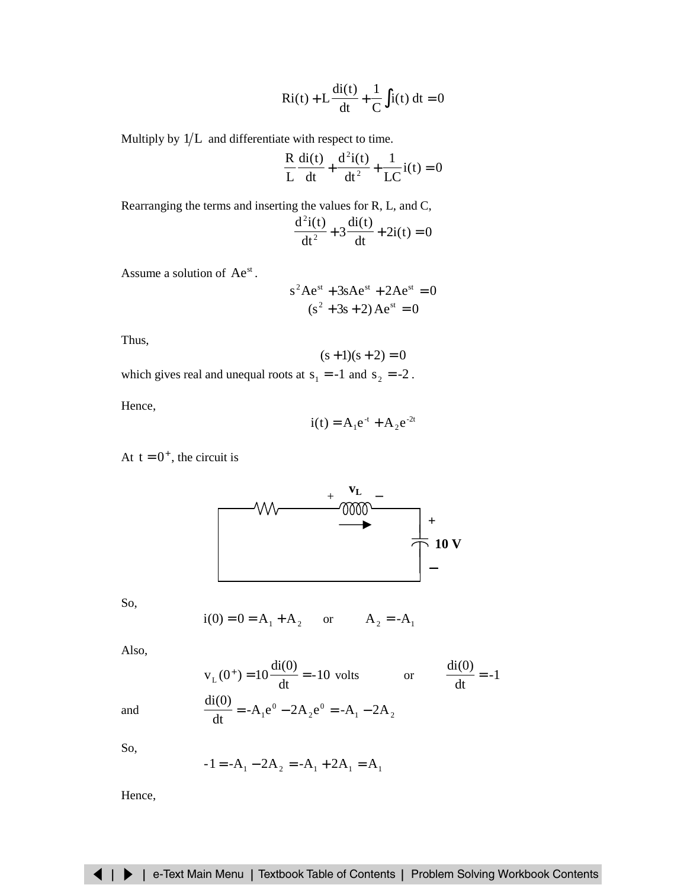$$
Ri(t) + L\frac{di(t)}{dt} + \frac{1}{C}\int i(t) dt = 0
$$

Multiply by  $1/L$  and differentiate with respect to time.

$$
\frac{R}{L}\frac{di(t)}{dt} + \frac{d^2i(t)}{dt^2} + \frac{1}{LC}i(t) = 0
$$

Rearranging the terms and inserting the values for R, L, and C,

$$
\frac{d^{2}i(t)}{dt^{2}} + 3\frac{di(t)}{dt} + 2i(t) = 0
$$

Assume a solution of  $Ae^{st}$ .

$$
s^{2}Ae^{st} + 3sAe^{st} + 2Ae^{st} = 0
$$
  
(s<sup>2</sup> + 3s + 2)Ae<sup>st</sup> = 0

Thus,

$$
(s+1)(s+2) = 0
$$

which gives real and unequal roots at  $s_1 = -1$  and  $s_2 = -2$ .

Hence,

$$
i(t) = A_1 e^{-t} + A_2 e^{-2t}
$$

At  $t = 0^+$ , the circuit is



So,

$$
i(0) = 0 = A_1 + A_2
$$
 or  $A_2 = -A_1$ 

Also,

and 
$$
v_L(0^+) = 10 \frac{di(0)}{dt} = -10
$$
 volts or  $\frac{di(0)}{dt} = -1$   
and  $\frac{di(0)}{dt} = -A_1 e^0 - 2A_2 e^0 = -A_1 - 2A_2$ 

So,

$$
-1 = -A_1 - 2A_2 = -A_1 + 2A_1 = A_1
$$

Hence,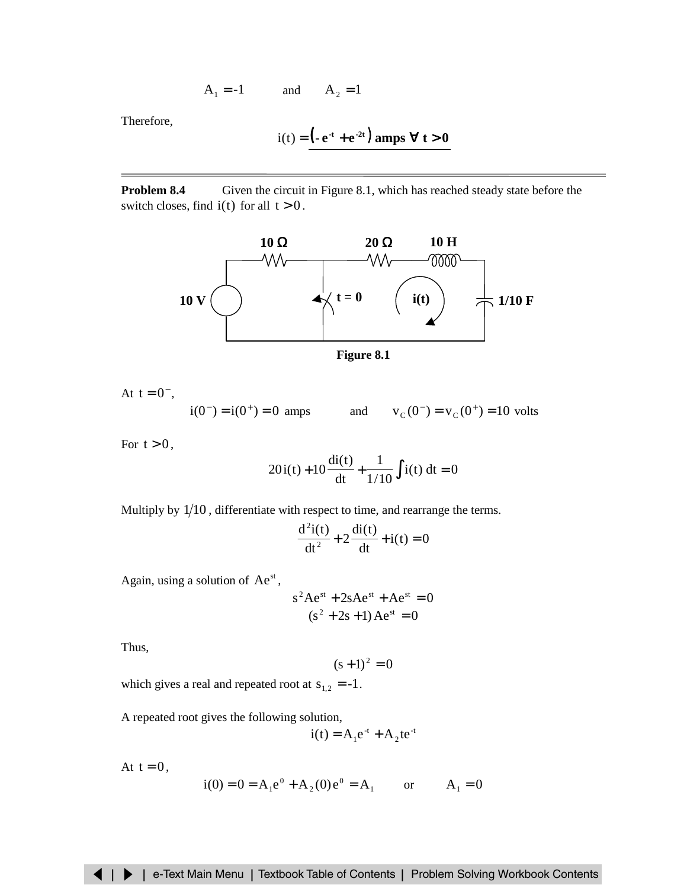$$
A_1 = -1 \qquad \text{and} \qquad A_2 = 1
$$

Therefore,

$$
i(t) = \left(-e^{-t} + e^{-2t}\right) \text{amps } \forall t > 0
$$

**Problem 8.4** Given the circuit in Figure 8.1, which has reached steady state before the switch closes, find  $i(t)$  for all  $t > 0$ .



At 
$$
t = 0^-
$$
,  
\n $i(0^-) = i(0^+) = 0$ amps and  $v_C(0^-) = v_C(0^+) = 10$  volts

For  $t > 0$ ,

$$
20i(t) + 10 \frac{di(t)}{dt} + \frac{1}{1/10} \int i(t) dt = 0
$$

Multiply by  $1/10$ , differentiate with respect to time, and rearrange the terms.

$$
\frac{d^{2}i(t)}{dt^{2}} + 2\frac{di(t)}{dt} + i(t) = 0
$$

Again, using a solution of  $Ae^{st}$ ,

$$
s^{2}Ae^{st} + 2sAe^{st} + Ae^{st} = 0
$$

$$
(s^{2} + 2s + 1)Ae^{st} = 0
$$

Thus,

$$
(s+1)^2=0
$$

which gives a real and repeated root at  $s_{1,2} = -1$ .

A repeated root gives the following solution,

$$
i(t) = A_1 e^{-t} + A_2 t e^{-t}
$$

At  $t = 0$ ,

$$
i(0) = 0 = A_1 e^0 + A_2(0) e^0 = A_1
$$
 or  $A_1 = 0$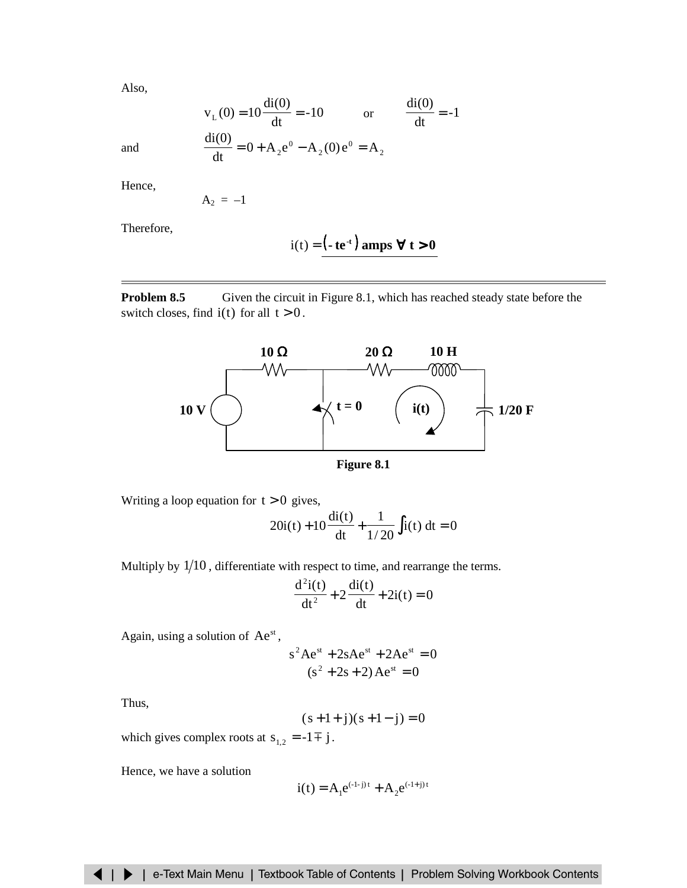Also,

and 
$$
v_L(0) = 10 \frac{di(0)}{dt} = -10
$$
 or  $\frac{di(0)}{dt} = -1$   
and  $\frac{di(0)}{dt} = 0 + A_2 e^0 - A_2(0) e^0 = A_2$ 

Hence,

$$
A_2 = -1
$$

Therefore,

$$
i(t) = (-te^{-t}) \text{amps } \forall t > 0
$$

**Problem 8.5** Given the circuit in Figure 8.1, which has reached steady state before the switch closes, find i(t) for all  $t > 0$ .



**Figure 8.1**

Writing a loop equation for  $t > 0$  gives,

$$
20i(t) + 10 \frac{di(t)}{dt} + \frac{1}{1/20} \int i(t) dt = 0
$$

Multiply by  $1/10$ , differentiate with respect to time, and rearrange the terms.

$$
\frac{d^2 i(t)}{dt^2} + 2 \frac{di(t)}{dt} + 2i(t) = 0
$$

Again, using a solution of  $Ae^{st}$ ,

$$
s^{2}Ae^{st} + 2sAe^{st} + 2Ae^{st} = 0
$$
  
(s<sup>2</sup> + 2s + 2) Ae<sup>st</sup> = 0

Thus,

$$
(s+1+j)(s+1-j) = 0
$$

which gives complex roots at  $s_{1,2} = -1 \pm j$ .

Hence, we have a solution

$$
i(t) = A_1 e^{(-1-j)t} + A_2 e^{(-1+j)t}
$$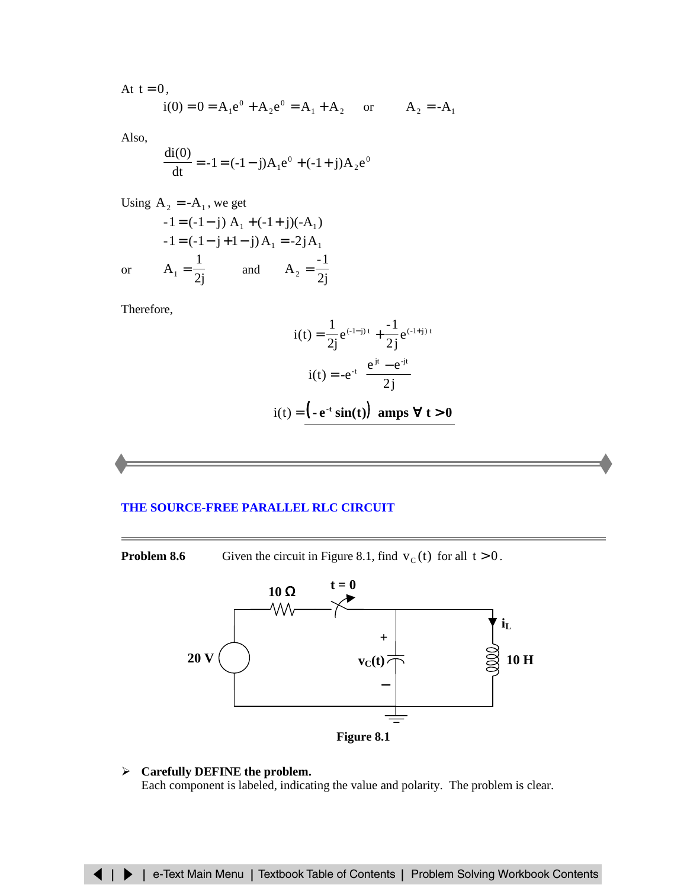<span id="page-6-0"></span>At 
$$
t = 0
$$
,  
\n $i(0) = 0 = A_1 e^0 + A_2 e^0 = A_1 + A_2$  or  $A_2 = -A_1$ 

Also,

$$
\frac{di(0)}{dt} = -1 = (-1 - j)A_1 e^0 + (-1 + j)A_2 e^0
$$

Using A<sub>2</sub> = -A<sub>1</sub>, we get  
\n-1 = (-1 - j) A<sub>1</sub> + (-1 + j)(-A<sub>1</sub>)  
\n-1 = (-1 - j + 1 - j) A<sub>1</sub> = -2j A<sub>1</sub>  
\nor A<sub>1</sub> = 
$$
\frac{1}{2j}
$$
 and A<sub>2</sub> =  $\frac{-1}{2j}$ 

Therefore,

$$
i(t) = \frac{1}{2j}e^{(-1-j)t} + \frac{-1}{2j}e^{(-1+j)t}
$$

$$
i(t) = -e^{-t}\left\{\frac{e^{jt} - e^{-jt}}{2j}\right\}
$$

$$
i(t) = (-e^{-t}\sin(t)) \text{ amps } \forall \text{ t > 0}
$$



## **[THE SOURCE-FREE PARALLEL RLC CIRCUIT](#page-13-0)**

**Problem 8.6** Given the circuit in Figure 8.1, find  $v_c(t)$  for all  $t > 0$ .



¾ **Carefully DEFINE the problem.** Each component is labeled, indicating the value and polarity. The problem is clear.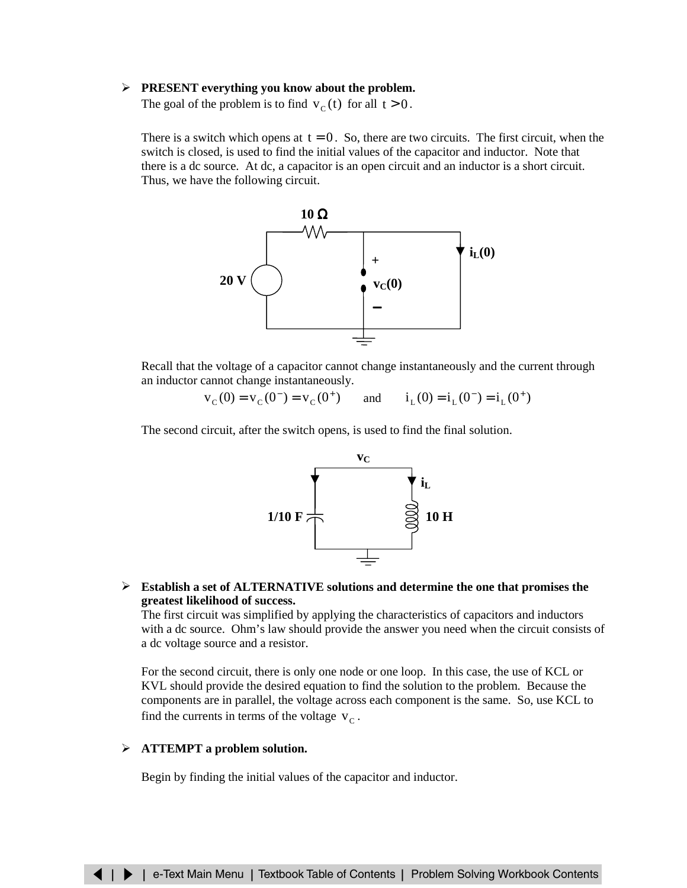## ¾ **PRESENT everything you know about the problem.**

The goal of the problem is to find  $v_c(t)$  for all  $t > 0$ .

There is a switch which opens at  $t = 0$ . So, there are two circuits. The first circuit, when the switch is closed, is used to find the initial values of the capacitor and inductor. Note that there is a dc source. At dc, a capacitor is an open circuit and an inductor is a short circuit. Thus, we have the following circuit.



Recall that the voltage of a capacitor cannot change instantaneously and the current through an inductor cannot change instantaneously.

 $v_C(0) = v_C(0^-) = v_C(0^+)$  and  $i_L(0) = i_L(0^-) = i_L(0^+)$ 

The second circuit, after the switch opens, is used to find the final solution.



#### ¾ **Establish a set of ALTERNATIVE solutions and determine the one that promises the greatest likelihood of success.**

The first circuit was simplified by applying the characteristics of capacitors and inductors with a dc source. Ohm's law should provide the answer you need when the circuit consists of a dc voltage source and a resistor.

For the second circuit, there is only one node or one loop. In this case, the use of KCL or KVL should provide the desired equation to find the solution to the problem. Because the components are in parallel, the voltage across each component is the same. So, use KCL to find the currents in terms of the voltage  $v<sub>c</sub>$ .

#### ¾ **ATTEMPT a problem solution.**

Begin by finding the initial values of the capacitor and inductor.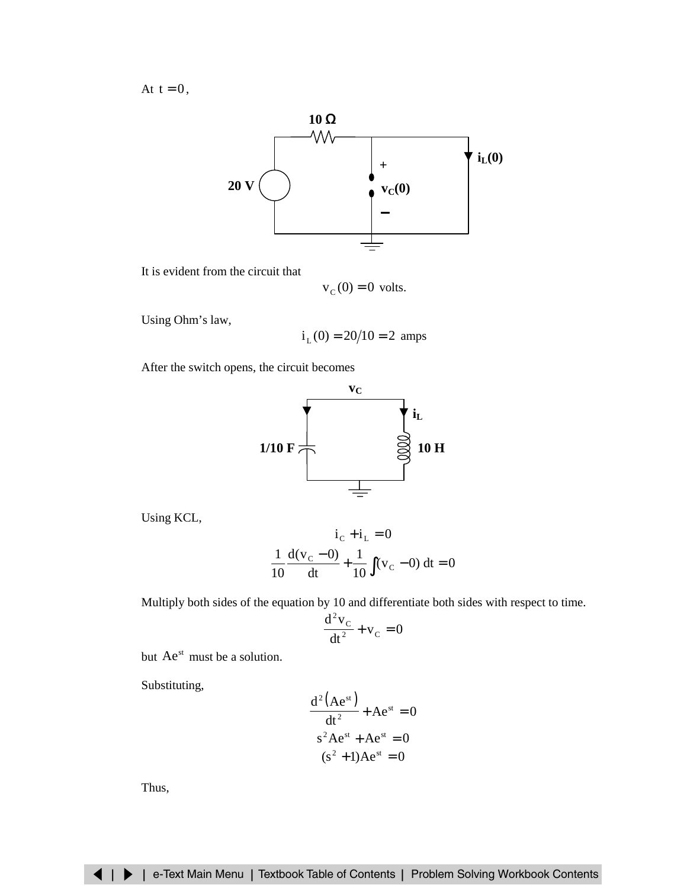At  $t = 0$ ,



It is evident from the circuit that

$$
v_C(0) = 0
$$
 volts.

Using Ohm's law,

$$
i_{L}(0) = 20/10 = 2 \text{ amps}
$$

After the switch opens, the circuit becomes



Using KCL,

$$
i_{C} + i_{L} = 0
$$
  

$$
\frac{1}{10} \frac{d(v_{C} - 0)}{dt} + \frac{1}{10} \int (v_{C} - 0) dt = 0
$$

Multiply both sides of the equation by 10 and differentiate both sides with respect to time.

$$
\frac{d^2v_C}{dt^2} + v_C = 0
$$

but  $Ae^{st}$  must be a solution.

Substituting,

$$
\frac{d^2(Ae^{st})}{dt^2} + Ae^{st} = 0
$$
  
s<sup>2</sup>Ae<sup>st</sup> + Ae<sup>st</sup> = 0  
(s<sup>2</sup> + 1)Ae<sup>st</sup> = 0

Thus,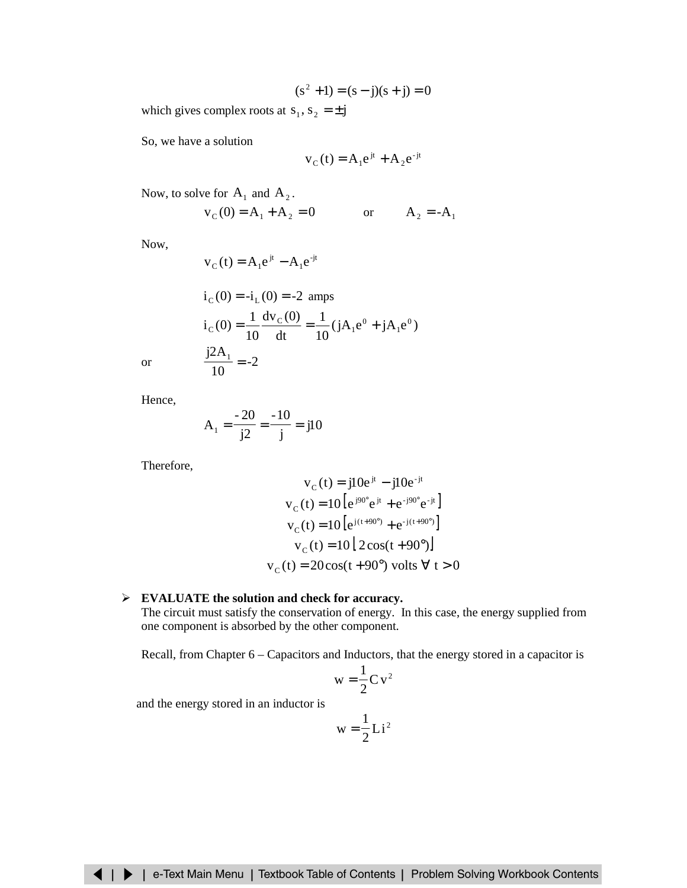$(s^2 + 1) = (s - j)(s + j) = 0$ 

which gives complex roots at  $s_1$ ,  $s_2 = \pm j$ 

So, we have a solution

$$
v_C(t) = A_1 e^{jt} + A_2 e^{-jt}
$$

Now, to solve for  $A_1$  and  $A_2$ .

$$
v_C(0) = A_1 + A_2 = 0
$$
 or  $A_2 = -A_1$ 

Now,

$$
v_C(t) = A_1 e^{jt} - A_1 e^{-jt}
$$

$$
i_C(0) = -i_L(0) = -2 \text{ amps}
$$
\n
$$
i_C(0) = \frac{1}{10} \frac{dv_C(0)}{dt} = \frac{1}{10} (jA_1e^{0} + jA_1e^{0})
$$
\nor

\n
$$
\frac{j2A_1}{10} = -2
$$

Hence,

$$
A_1 = \frac{-20}{j^2} = \frac{-10}{j} = j10
$$

Therefore,

$$
v_C(t) = j10e^{jt} - j10e^{-jt}
$$
  
\n
$$
v_C(t) = 10[e^{j90^\circ}e^{jt} + e^{-j90^\circ}e^{-jt}]
$$
  
\n
$$
v_C(t) = 10[e^{j(t+90^\circ)} + e^{-j(t+90^\circ)}]
$$
  
\n
$$
v_C(t) = 10[2\cos(t+90^\circ)]
$$
  
\n
$$
v_C(t) = 20\cos(t+90^\circ) \text{ volts } \forall t > 0
$$

#### ¾ **EVALUATE the solution and check for accuracy.**

The circuit must satisfy the conservation of energy. In this case, the energy supplied from one component is absorbed by the other component.

Recall, from Chapter 6 – Capacitors and Inductors, that the energy stored in a capacitor is

$$
w = \frac{1}{2}C v^2
$$

and the energy stored in an inductor is

$$
w = \frac{1}{2}Li^2
$$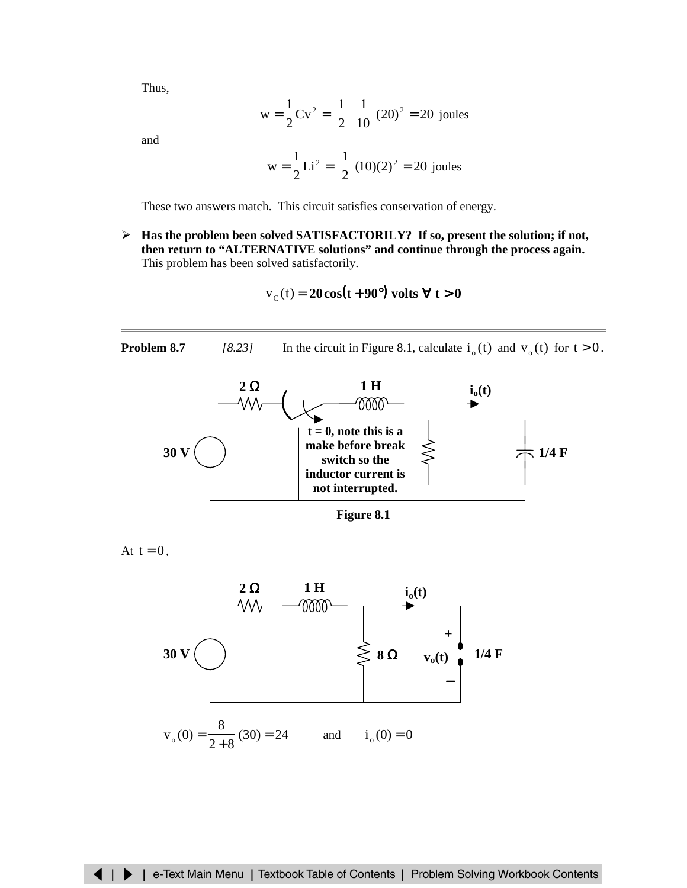Thus,

$$
w = \frac{1}{2}Cv^2 = \left(\frac{1}{2}\right)\left(\frac{1}{10}\right)(20)^2 = 20 \text{ joules}
$$

and

$$
w = \frac{1}{2}Li^2 = \left(\frac{1}{2}\right)(10)(2)^2 = 20 \text{ joules}
$$

These two answers match. This circuit satisfies conservation of energy.

¾ **Has the problem been solved SATISFACTORILY? If so, present the solution; if not, then return to "ALTERNATIVE solutions" and continue through the process again.** This problem has been solved satisfactorily.

$$
v_c(t) = 20\cos(t + 90^\circ) \text{ volts } \forall t > 0
$$

**Problem 8.7** *[8.23]* In the circuit in Figure 8.1, calculate  $i_0(t)$  and  $v_0(t)$  for  $t > 0$ .



**Figure 8.1**

At  $t = 0$ ,

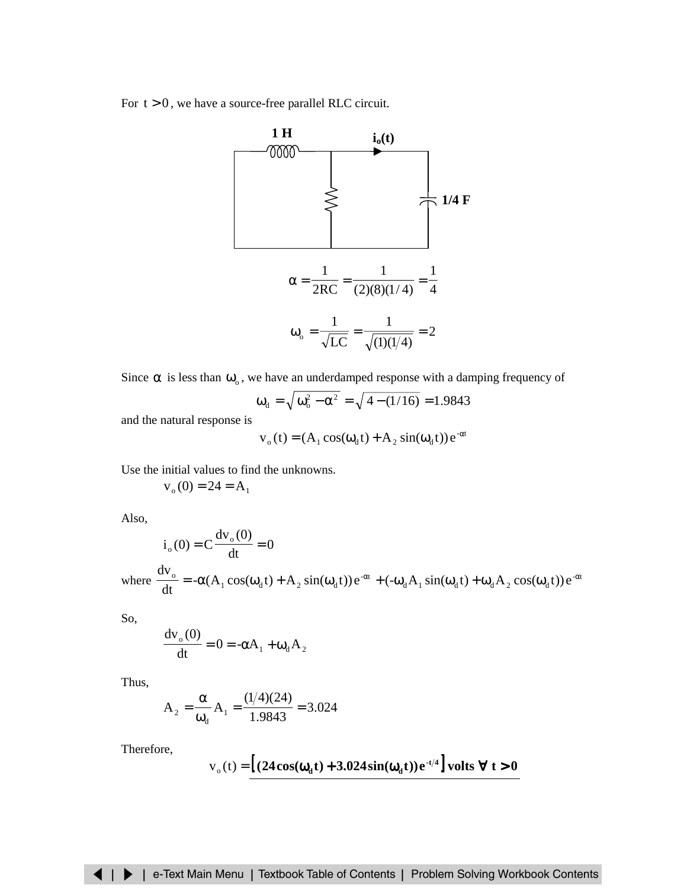For  $t > 0$ , we have a source-free parallel RLC circuit.



Since  $\alpha$  is less than  $\omega_0$ , we have an underdamped response with a damping frequency of  $\omega_{d} = \sqrt{\omega_{o}^{2} - \alpha^{2}} = \sqrt{4 - (1/16)} = 1.9843$ 

and the natural response is

$$
v_{o}(t) = (A_1 \cos(\omega_d t) + A_2 \sin(\omega_d t)) e^{-\alpha t}
$$

Use the initial values to find the unknowns.

 $v_0(0) = 24 = A_1$ 

Also,

$$
i_0(0) = C \frac{dv_0(0)}{dt} = 0
$$

where  $\frac{dv_0}{dt} = -\alpha (A_1 \cos(\omega_d t) + A_2 \sin(\omega_d t)) e^{-\alpha t} + (-\omega_d A_1 \sin(\omega_d t) + \omega_d A_2 \cos(\omega_d t)) e^{-\alpha t}$ 

So,

$$
\frac{d v_{_0}(0)}{dt}=0=-\alpha A_1+\omega_d A_2
$$

Thus,

$$
A_2 = \frac{\alpha}{\omega_d} A_1 = \frac{(1/4)(24)}{1.9843} = 3.024
$$

Therefore,

$$
v_0(t) = [(24\cos(\omega_d t) + 3.024\sin(\omega_d t))e^{-t/4}]
$$
 volts  $\forall t > 0$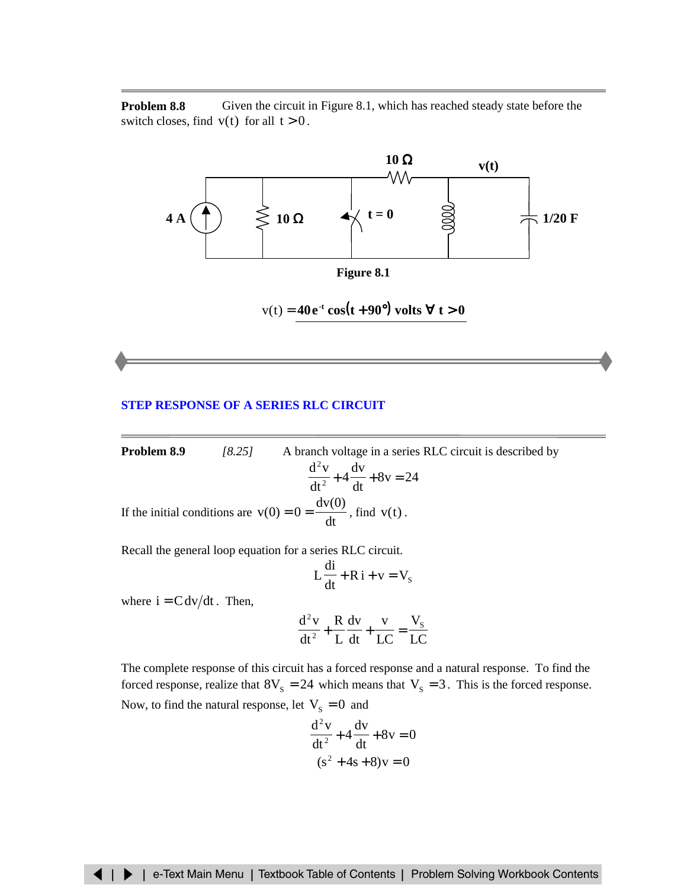<span id="page-12-0"></span>**Problem 8.8** Given the circuit in Figure 8.1, which has reached steady state before the switch closes, find  $v(t)$  for all  $t > 0$ .



$$
v(t) = 40e^{-t}\cos(t + 90^{\circ})
$$
 volts  $\forall$  t > 0

#### **STEP RESPONSE OF [A SERIES RLC CIRCUIT](#page-19-0)**

**Problem 8.9** [8.25] A branch voltage in a series RLC circuit is described by 
$$
\frac{d^2v}{dt^2} + 4\frac{dv}{dt} + 8v = 24
$$
If the initial conditions are  $v(0) = 0 = \frac{dv(0)}{dt}$ , find  $v(t)$ .

Recall the general loop equation for a series RLC circuit.

$$
L\frac{di}{dt} + R i + v = V_s
$$

where  $i = C dv/dt$ . Then,

$$
\frac{d^2v}{dt^2} + \frac{R}{L}\frac{dv}{dt} + \frac{v}{LC} = \frac{V_s}{LC}
$$

The complete response of this circuit has a forced response and a natural response. To find the forced response, realize that  $8V_s = 24$  which means that  $V_s = 3$ . This is the forced response. Now, to find the natural response, let  $V_s = 0$  and

$$
\frac{d^2v}{dt^2} + 4\frac{dv}{dt} + 8v = 0
$$
  
(s<sup>2</sup> + 4s + 8)v = 0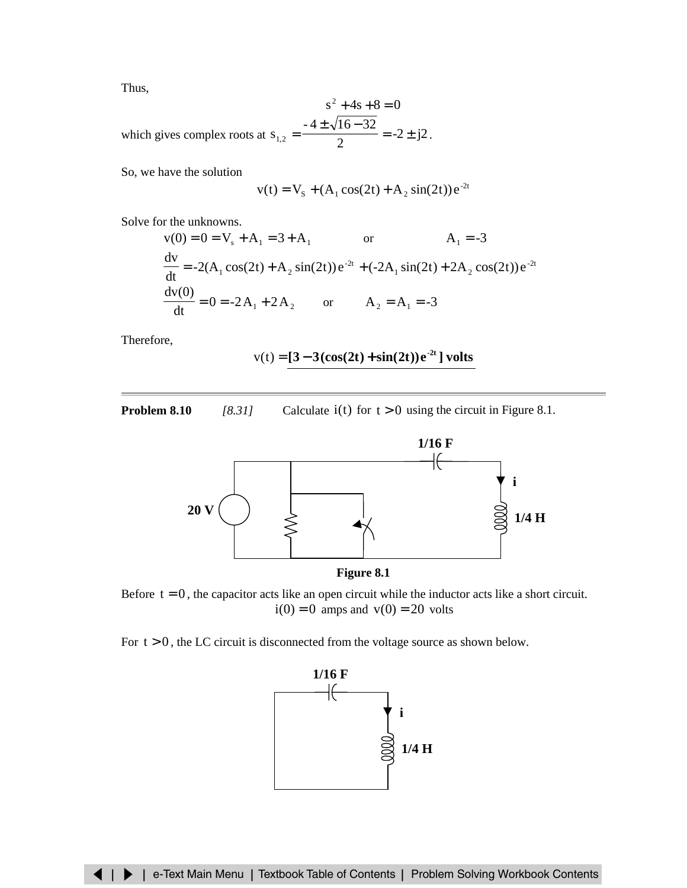<span id="page-13-0"></span>Thus,

$$
s^{2} + 4s + 8 = 0
$$
  
which gives complex roots at  $s_{1,2} = \frac{-4 \pm \sqrt{16 - 32}}{2} = -2 \pm j2$ .

So, we have the solution

$$
v(t) = VS + (A1 cos(2t) + A2 sin(2t)) e-2t
$$

Solve for the unknowns.

$$
v(0) = 0 = V_s + A_1 = 3 + A_1 \qquad \text{or} \qquad A_1 = -3
$$
  
\n
$$
\frac{dv}{dt} = -2(A_1 \cos(2t) + A_2 \sin(2t))e^{-2t} + (-2A_1 \sin(2t) + 2A_2 \cos(2t))e^{-2t}
$$
  
\n
$$
\frac{dv(0)}{dt} = 0 = -2A_1 + 2A_2 \qquad \text{or} \qquad A_2 = A_1 = -3
$$

Therefore,

$$
v(t) = [3 - 3(\cos(2t) + \sin(2t))e^{-2t}]
$$
 volts

**Problem 8.10** *[8.31]* Calculate  $i(t)$  for  $t > 0$  using the circuit in Figure 8.1.





Before  $t = 0$ , the capacitor acts like an open circuit while the inductor acts like a short circuit.  $i(0) = 0$  amps and  $v(0) = 20$  volts

For  $t > 0$ , the LC circuit is disconnected from the voltage source as shown below.

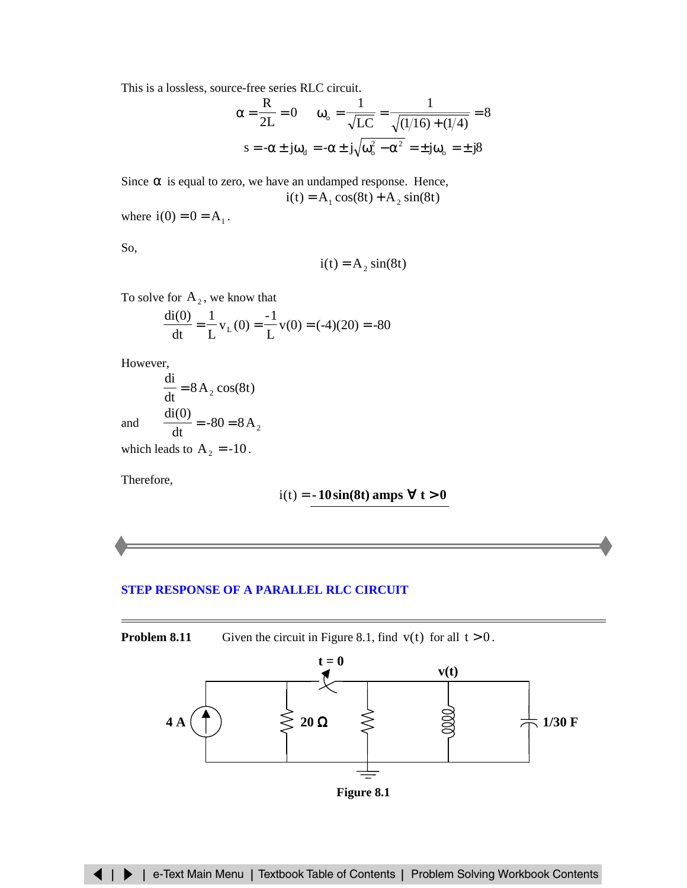<span id="page-14-0"></span>This is a lossless, source-free series RLC circuit.

$$
\alpha = \frac{R}{2L} = 0 \qquad \omega_{\circ} = \frac{1}{\sqrt{LC}} = \frac{1}{\sqrt{(1/16) + (1/4)}} = 8
$$

$$
s = -\alpha \pm j\omega_{\circ} = -\alpha \pm j\sqrt{\omega_{\circ}^{2} - \alpha^{2}} = \pm j\omega_{\circ} = \pm j8
$$

Since  $\alpha$  is equal to zero, we have an undamped response. Hence,

$$
i(t) = A_1 \cos(8t) + A_2 \sin(8t)
$$

where  $i(0) = 0 = A_1$ .

So,

$$
i(t) = A_2 \sin(8t)
$$

To solve for  $A_2$ , we know that

$$
\frac{di(0)}{dt} = \frac{1}{L}v_L(0) = \frac{-1}{L}v(0) = (-4)(20) = -80
$$

However,

$$
\frac{di}{dt} = 8 A_2 \cos(8t)
$$
  
and 
$$
\frac{di(0)}{dt} = -80 = 8 A_2
$$

which leads to  $A_2 = -10$ .

Therefore,

$$
i(t) = -10\sin(8t) \text{ amps } \forall t > 0
$$

#### **STEP RESPONSE OF [A PARALLEL RLC CIRCUIT](#page-24-0)**

**Problem 8.11** Given the circuit in Figure 8.1, find  $v(t)$  for all  $t > 0$ .

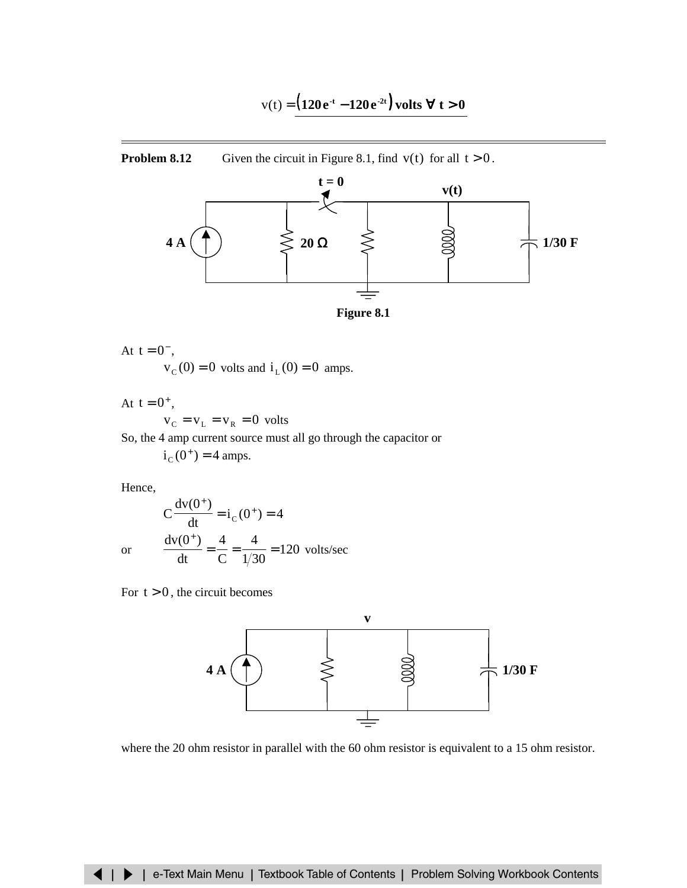$$
v(t) = (120e^{-t} - 120e^{-2t})
$$
 volts  $\forall$  t > 0

# **Problem 8.12** Given the circuit in Figure 8.1, find  $v(t)$  for all  $t > 0$ .



At 
$$
t = 0^-
$$
,  
 $v_C(0) = 0$  volts and  $i_L(0) = 0$ amps.

At  $t = 0^+$ ,

 $v_C = v_L = v_R = 0$  volts

So, the 4 amp current source must all go through the capacitor or

 $i_C (0^+) = 4$  amps.

Hence,

$$
C \frac{dv(0^{+})}{dt} = i_{C}(0^{+}) = 4
$$
  
or 
$$
\frac{dv(0^{+})}{dt} = \frac{4}{C} = \frac{4}{1/30} = 120 \text{ volts/sec}
$$

For  $t > 0$ , the circuit becomes



where the 20 ohm resistor in parallel with the 60 ohm resistor is equivalent to a 15 ohm resistor.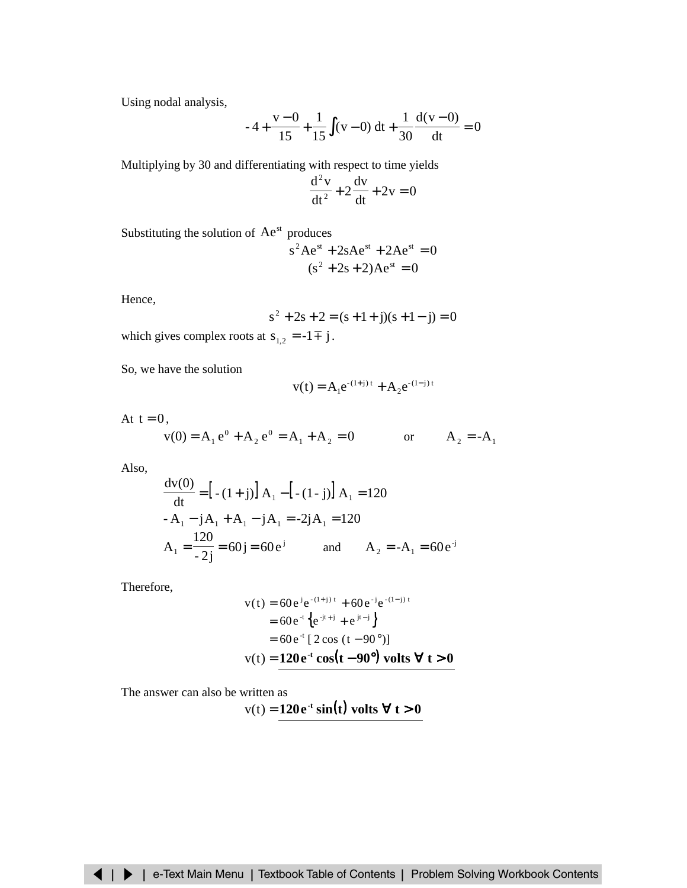Using nodal analysis,

$$
-4 + \frac{v - 0}{15} + \frac{1}{15} \int (v - 0) dt + \frac{1}{30} \frac{d(v - 0)}{dt} = 0
$$

Multiplying by 30 and differentiating with respect to time yields

$$
\frac{d^2v}{dt^2} + 2\frac{dv}{dt} + 2v = 0
$$

Substituting the solution of  $Ae^{st}$  produces

$$
s^{2}Ae^{st} + 2sAe^{st} + 2Ae^{st} = 0
$$
  

$$
(s^{2} + 2s + 2)Ae^{st} = 0
$$

Hence,

$$
s^2 + 2s + 2 = (s + 1 + j)(s + 1 - j) = 0
$$

which gives complex roots at  $s_{1,2} = -1 \pm j$ .

So, we have the solution

$$
v(t) = A_1 e^{-(1+j)t} + A_2 e^{-(1-j)t}
$$

At  $t = 0$ ,

$$
v(0) = A_1 e^0 + A_2 e^0 = A_1 + A_2 = 0
$$
 or  $A_2 = -A_1$ 

Also,

$$
\frac{dv(0)}{dt} = [ -(1+j)] A_1 - [ -(1-j)] A_1 = 120
$$
  
- A<sub>1</sub> - jA<sub>1</sub> + A<sub>1</sub> - jA<sub>1</sub> = -2jA<sub>1</sub> = 120  
A<sub>1</sub> =  $\frac{120}{-2j}$  = 60j = 60e<sup>j</sup> and A<sub>2</sub> = -A<sub>1</sub> = 60e<sup>j</sup>

Therefore,

$$
v(t) = 60e^{j}e^{-(1+j)t} + 60e^{j}e^{-(1-j)t}
$$
  
= 60e<sup>-t</sup> {e<sup>-jt+j</sup> + e<sup>jt-j</sup>}  
= 60e<sup>-t</sup> [ 2 cos (t – 90°)]  

$$
v(t) = 120e^{-t} cos(t – 90°) volts \forall t > 0
$$

The answer can also be written as

 $v(t) = 120e^{-t} \sin(t)$  volts  $\forall t > 0$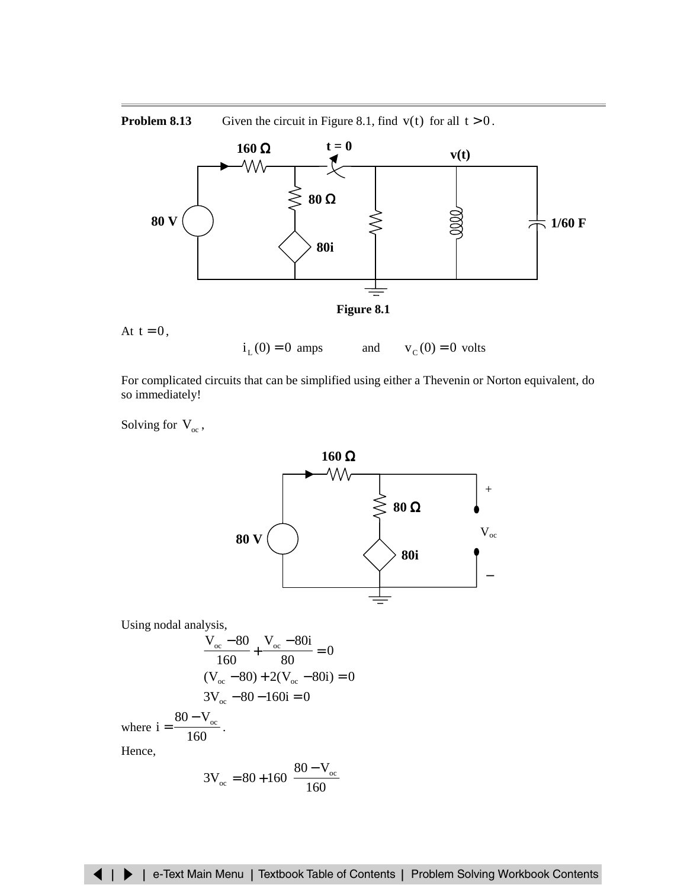# **Problem 8.13** Given the circuit in Figure 8.1, find  $v(t)$  for all  $t > 0$ .



For complicated circuits that can be simplified using either a Thevenin or Norton equivalent, do so immediately!

Solving for  $V_{oc}$ ,



Using nodal analysis,

$$
\frac{V_{oc} - 80}{160} + \frac{V_{oc} - 80i}{80} = 0
$$

$$
(V_{oc} - 80) + 2(V_{oc} - 80i) = 0
$$

$$
3V_{oc} - 80 - 160i = 0
$$

$$
i = \frac{80 - V_{oc}}{160}.
$$

where  $i = \frac{160}{160}$ 

Hence,

$$
3V_{\infty} = 80 + 160 \left( \frac{80 - V_{\infty}}{160} \right)
$$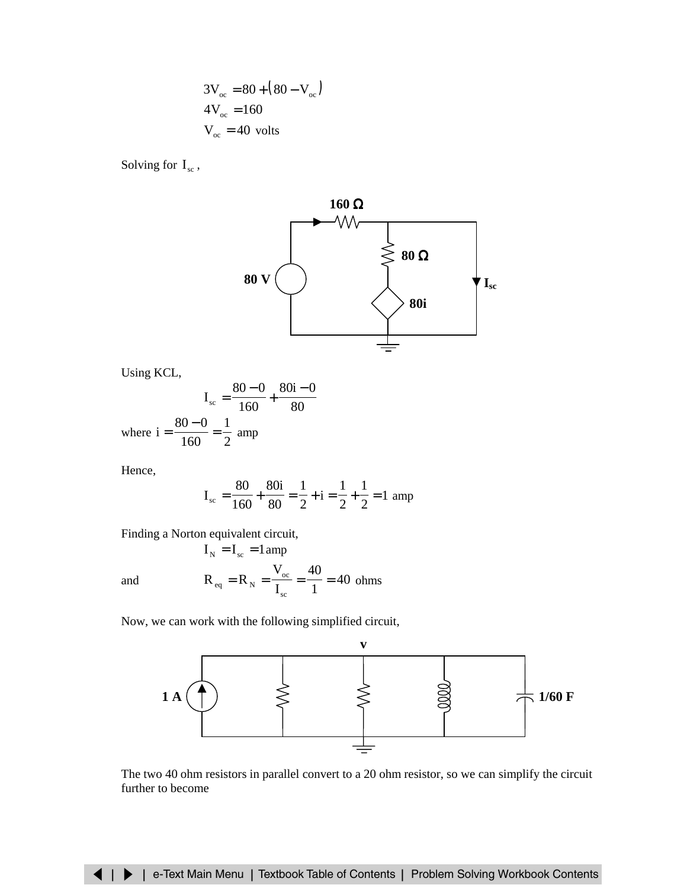$$
3V_{\infty} = 80 + (80 - V_{\infty})
$$
  
4V<sub>oc</sub> = 160  
V<sub>oc</sub> = 40 volts

Solving for  $I_{\rm sc}$ ,



Using KCL,

$$
I_{sc} = \frac{80 - 0}{160} + \frac{80i - 0}{80}
$$
  
where  $i = \frac{80 - 0}{160} = \frac{1}{2}$  amp

Hence,

$$
I_{sc} = \frac{80}{160} + \frac{80i}{80} = \frac{1}{2} + i = \frac{1}{2} + \frac{1}{2} = 1 \text{ amp}
$$

Finding a Norton equivalent circuit,

and 
$$
I_{N} = I_{sc} = 1 \text{ amp}
$$

$$
R_{eq} = R_{N} = \frac{V_{oc}}{I_{sc}} = \frac{40}{1} = 40 \text{ ohms}
$$

Now, we can work with the following simplified circuit,



The two 40 ohm resistors in parallel convert to a 20 ohm resistor, so we can simplify the circuit further to become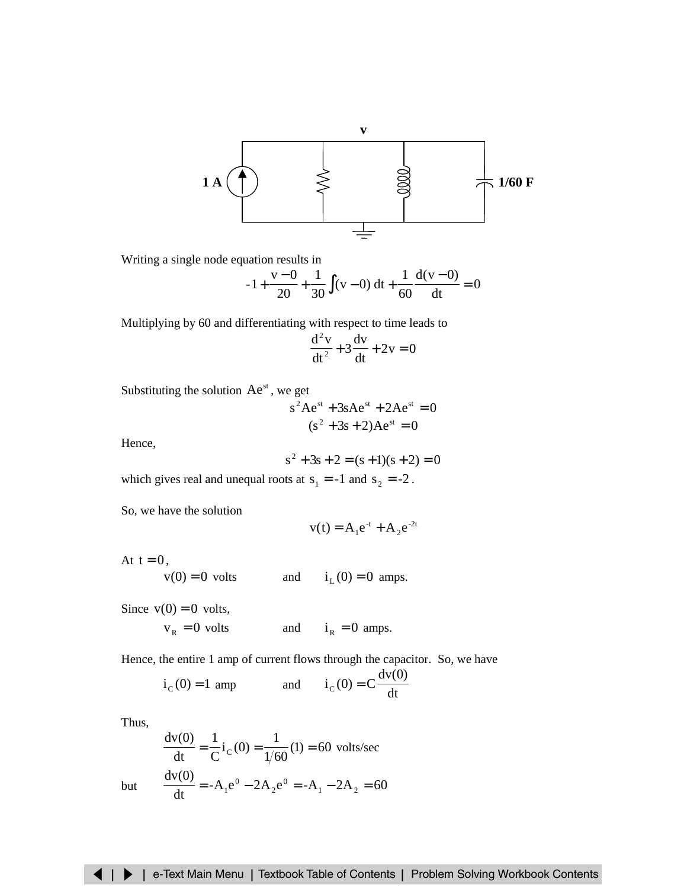<span id="page-19-0"></span>

Writing a single node equation results in

$$
-1 + \frac{v - 0}{20} + \frac{1}{30} \int (v - 0) dt + \frac{1}{60} \frac{d(v - 0)}{dt} = 0
$$

Multiplying by 60 and differentiating with respect to time leads to

$$
\frac{d^2v}{dt^2} + 3\frac{dv}{dt} + 2v = 0
$$

Substituting the solution  $Ae^{st}$ , we get

$$
s^{2}Ae^{st} + 3sAe^{st} + 2Ae^{st} = 0
$$
  

$$
(s^{2} + 3s + 2)Ae^{st} = 0
$$

Hence,

$$
s^2 + 3s + 2 = (s+1)(s+2) = 0
$$

which gives real and unequal roots at  $s_1 = -1$  and  $s_2 = -2$ .

So, we have the solution

$$
v(t) = A_1 e^{-t} + A_2 e^{-2t}
$$

At  $t = 0$ ,

 $v(0) = 0$  volts and  $i_L(0) = 0$  amps.

Since  $v(0) = 0$  volts,

 $v_R = 0$  volts and  $i_R = 0$  amps.

Hence, the entire 1 amp of current flows through the capacitor. So, we have

$$
i_C(0) = 1
$$
 amp and  $i_C(0) = C \frac{dv(0)}{dt}$ 

Thus,

but 
$$
\frac{dv(0)}{dt} = \frac{1}{C}i_C(0) = \frac{1}{1/60}(1) = 60 \text{ volts/sec}
$$
  
but 
$$
\frac{dv(0)}{dt} = -A_1e^0 - 2A_2e^0 = -A_1 - 2A_2 = 60
$$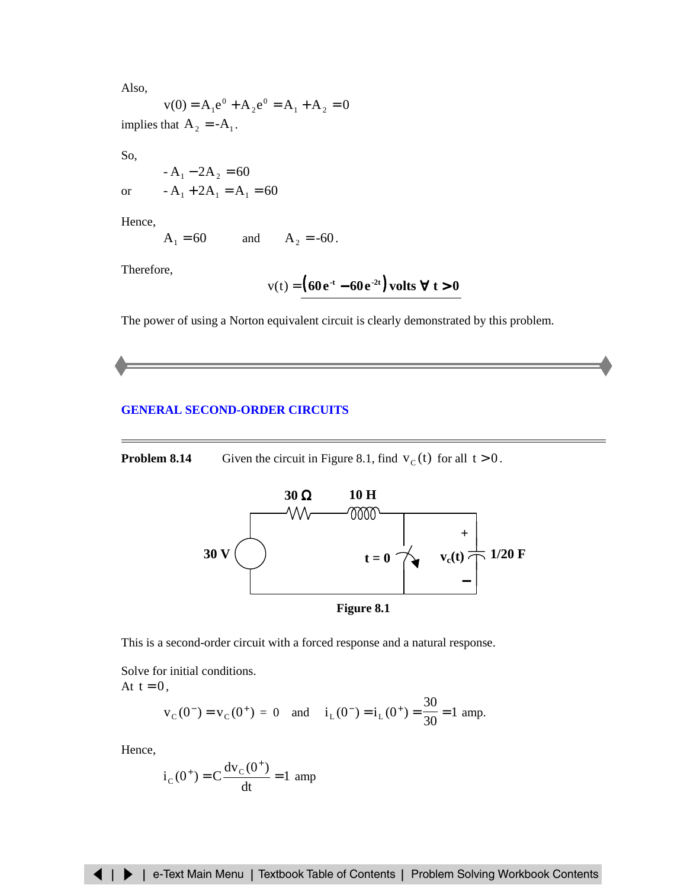<span id="page-20-0"></span>Also,

$$
v(0) = A_1 e^0 + A_2 e^0 = A_1 + A_2 = 0
$$

implies that  $A_2 = -A_1$ .

So,

 $-A_1 - 2A_2 = 60$ or  $-A_1 + 2A_1 = A_1 = 60$ 

Hence,

$$
A_1 = 60
$$
 and  $A_2 = -60$ .

Therefore,

$$
v(t) = \left(60 e^{-t} - 60 e^{-2t}\right) \text{ volts } \forall \ t > 0
$$

The power of using a Norton equivalent circuit is clearly demonstrated by this problem.

### **[GENERAL SECOND-ORDER CIRCUITS](#page-27-0)**

**Problem 8.14** Given the circuit in Figure 8.1, find  $v_c(t)$  for all  $t > 0$ .



**Figure 8.1**

This is a second-order circuit with a forced response and a natural response.

Solve for initial conditions. At  $t = 0$ ,

$$
v_C(0^-) = v_C(0^+) = 0
$$
 and  $i_L(0^-) = i_L(0^+) = \frac{30}{30} = 1$  amp.

Hence,

$$
i_c(0^+) = C \frac{dv_c(0^+)}{dt} = 1
$$
amp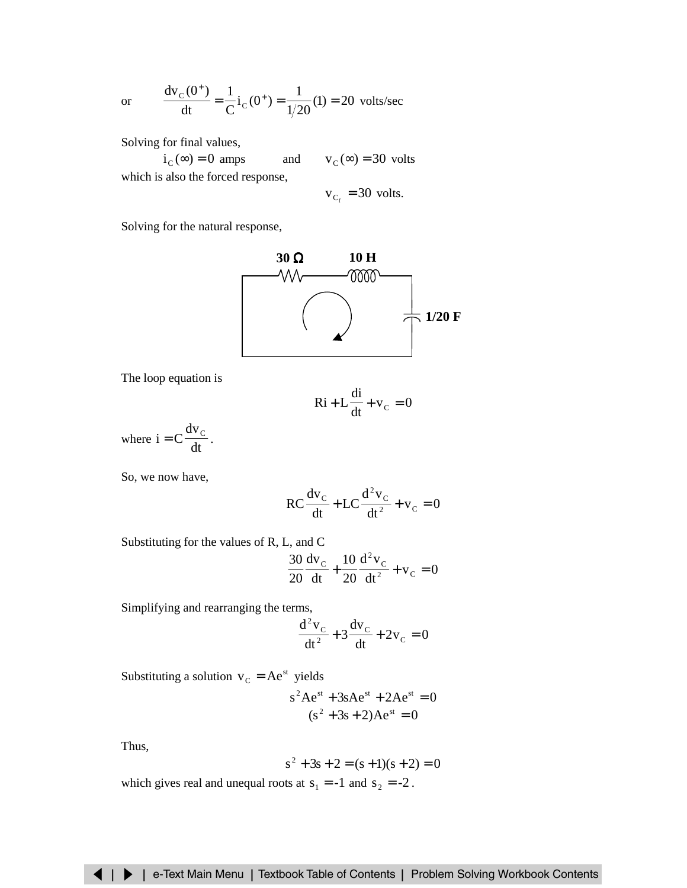or 
$$
\frac{dv_c(0^+)}{dt} = \frac{1}{C}i_c(0^+) = \frac{1}{1/20}(1) = 20 \text{ volts/sec}
$$

Solving for final values,

 $i_C (\infty) = 0$  amps and  $v_C (\infty) = 30$  volts which is also the forced response,

 $v_{C_f}$  = 30 volts.

Solving for the natural response,



The loop equation is

$$
Ri + L\frac{di}{dt} + v_c = 0
$$

where  $i = C \frac{d}{dt}$  $i = C \frac{dv_c}{dt}$ .

So, we now have,

$$
RC\frac{dv_{C}}{dt} + LC\frac{d^{2}v_{C}}{dt^{2}} + v_{C} = 0
$$

Substituting for the values of 
$$
R
$$
,  $L$ , and  $C$ .

$$
\frac{30}{20}\frac{dv_{C}}{dt} + \frac{10}{20}\frac{d^{2}v_{C}}{dt^{2}} + v_{C} = 0
$$

Simplifying and rearranging the terms,

$$
\frac{d^2v_{\rm C}}{dt^2} + 3\frac{dv_{\rm C}}{dt} + 2v_{\rm C} = 0
$$

Substituting a solution  $v_C = Ae^{st}$  yields

$$
s2 A est + 3s A est + 2A est = 0
$$
  
(s<sup>2</sup> + 3s + 2) A e<sup>st</sup> = 0

Thus,

$$
s^2 + 3s + 2 = (s+1)(s+2) = 0
$$

which gives real and unequal roots at  $s_1 = -1$  and  $s_2 = -2$ .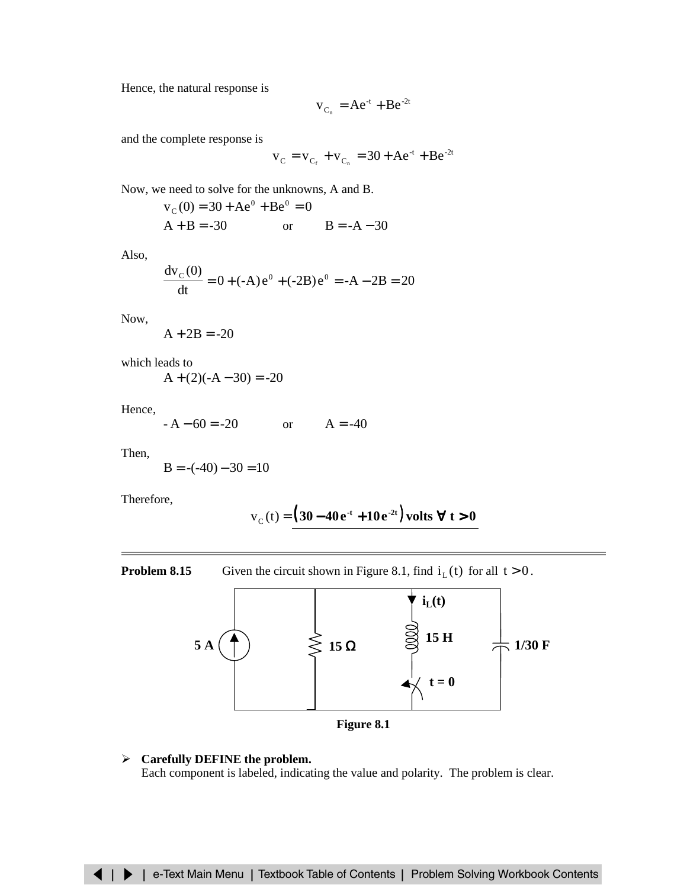Hence, the natural response is

$$
v_{C_n} = Ae^{-t} + Be^{-2t}
$$

and the complete response is

$$
v_C = v_{C_f} + v_{C_n} = 30 + Ae^{-t} + Be^{-2t}
$$

Now, we need to solve for the unknowns, A and B.

$$
v_C(0) = 30 + Ae^0 + Be^0 = 0
$$
  
A + B = -30 or B = -A - 30

Also,

$$
\frac{dv_c(0)}{dt} = 0 + (-A)e^0 + (-2B)e^0 = -A - 2B = 20
$$

Now,

$$
A + 2B = -20
$$

which leads to

$$
A + (2)(-A - 30) = -20
$$

Hence,

$$
-A - 60 = -20
$$
 or  $A = -40$ 

Then,

$$
B = -(-40) - 30 = 10
$$

Therefore,

$$
v_c(t) = (30-40e^{t} + 10e^{-2t})
$$
 volts  $\forall t > 0$ 

**Problem 8.15** Given the circuit shown in Figure 8.1, find  $i_L(t)$  for all  $t > 0$ .



**Figure 8.1**

### ¾ **Carefully DEFINE the problem.** Each component is labeled, indicating the value and polarity. The problem is clear.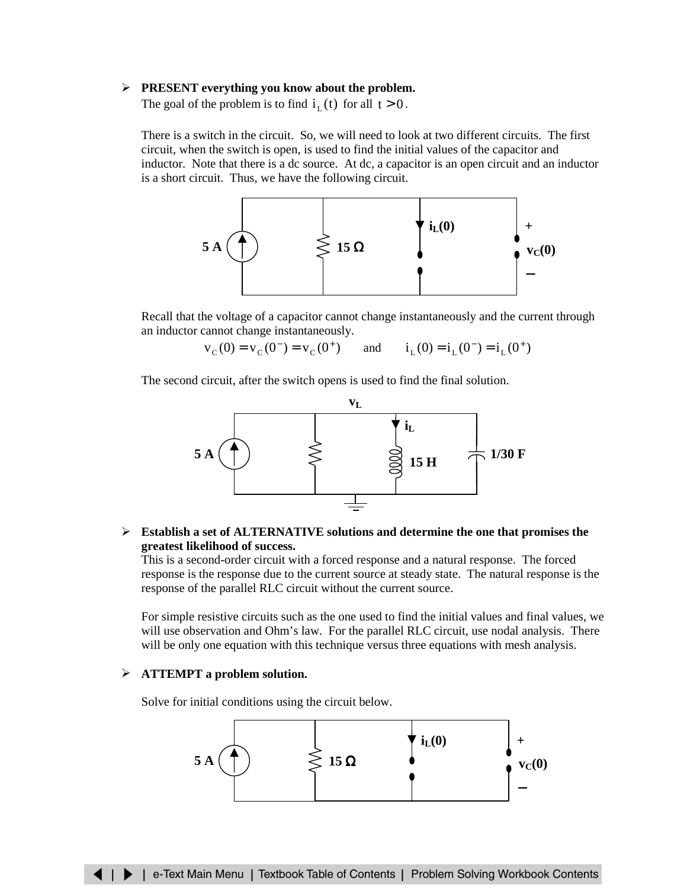### ¾ **PRESENT everything you know about the problem.**

The goal of the problem is to find  $i_{r}(t)$  for all  $t > 0$ .

There is a switch in the circuit. So, we will need to look at two different circuits. The first circuit, when the switch is open, is used to find the initial values of the capacitor and inductor. Note that there is a dc source. At dc, a capacitor is an open circuit and an inductor is a short circuit. Thus, we have the following circuit.



Recall that the voltage of a capacitor cannot change instantaneously and the current through an inductor cannot change instantaneously.

$$
v_C(0) = v_C(0^-) = v_C(0^+)
$$
 and  $i_L(0) = i_L(0^-) = i_L(0^+)$ 

The second circuit, after the switch opens is used to find the final solution.



## ¾ **Establish a set of ALTERNATIVE solutions and determine the one that promises the greatest likelihood of success.**

This is a second-order circuit with a forced response and a natural response. The forced response is the response due to the current source at steady state. The natural response is the response of the parallel RLC circuit without the current source.

For simple resistive circuits such as the one used to find the initial values and final values, we will use observation and Ohm's law. For the parallel RLC circuit, use nodal analysis. There will be only one equation with this technique versus three equations with mesh analysis.

## ¾ **ATTEMPT a problem solution.**

Solve for initial conditions using the circuit below.

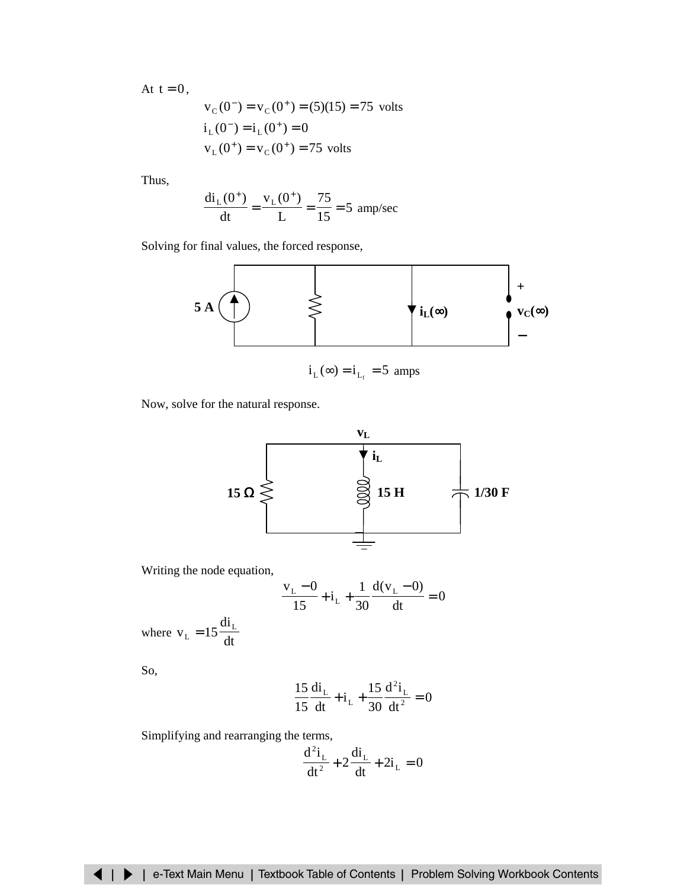<span id="page-24-0"></span>At  $t = 0$ ,

$$
v_C(0^-) = v_C(0^+) = (5)(15) = 75
$$
 volts  

$$
i_L(0^-) = i_L(0^+) = 0
$$

$$
v_L(0^+) = v_C(0^+) = 75
$$
 volts

Thus,

$$
\frac{di_L(0^+)}{dt} = \frac{v_L(0^+)}{L} = \frac{75}{15} = 5 \text{ amp/sec}
$$

Solving for final values, the forced response,



$$
i_{L}(\infty) = i_{L_f} = 5 \text{ amps}
$$

Now, solve for the natural response.



Writing the node equation,

$$
\frac{v_{L} - 0}{15} + i_{L} + \frac{1}{30} \frac{d(v_{L} - 0)}{dt} = 0
$$

where  $v_L = 15 \frac{d}{dt}$  $v_{L} = 15 \frac{di_{L}}{dt}$ 

So,

$$
\frac{15}{15}\frac{di_{L}}{dt} + i_{L} + \frac{15}{30}\frac{d^{2}i_{L}}{dt^{2}} = 0
$$

Simplifying and rearranging the terms,

$$
\frac{d^2 i_L}{dt^2} + 2\frac{di_L}{dt} + 2i_L = 0
$$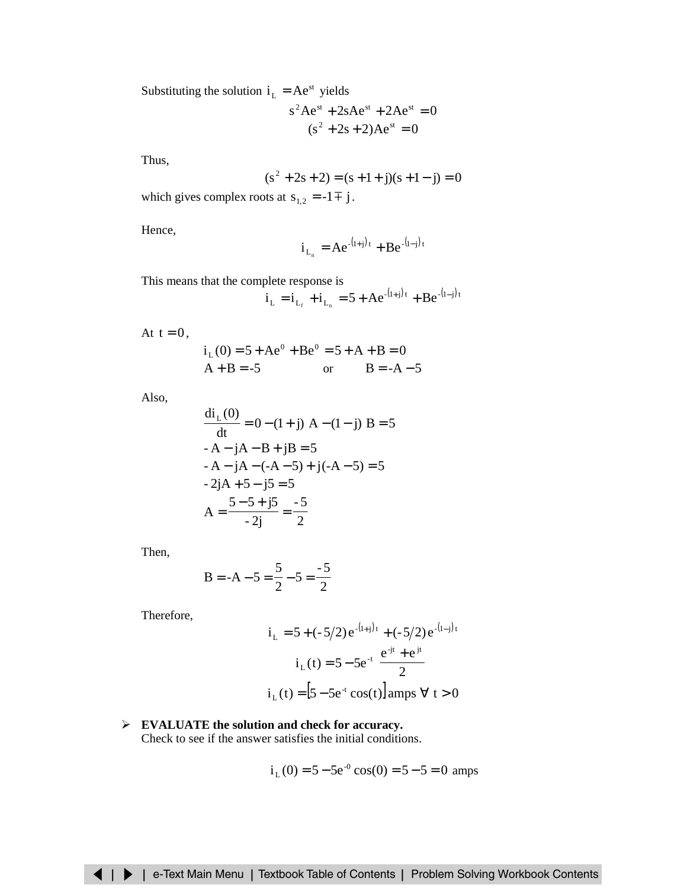Substituting the solution  $i_L = Ae^{st}$  yields

$$
s2 A est + 2s A est + 2A est = 0
$$
  
(s<sup>2</sup> + 2s + 2) A e<sup>st</sup> = 0

Thus,

$$
(s2 + 2s + 2) = (s + 1 + j)(s + 1 - j) = 0
$$

which gives complex roots at  $s_{1,2} = -1 \pm j$ .

Hence,

$$
i_{L_n} = Ae^{-(1+j)t} + Be^{-(1-j)t}
$$

This means that the complete response is

$$
\mathbf{i}_{\mathrm{L}} = \mathbf{i}_{\mathrm{L}_{\mathrm{f}}} + \mathbf{i}_{\mathrm{L}_{\mathrm{n}}} = 5 + \mathrm{A}e^{-(1+j)t} + \mathrm{Be}^{-(1-j)t}
$$

At  $t = 0$ ,

$$
iL(0) = 5 + Ae0 + Be0 = 5 + A + B = 0
$$
  
A + B = -5 or B = -A - 5

Also,

$$
\frac{di_L(0)}{dt} = 0 - (1 + j) A - (1 - j) B = 5
$$
  
- A - jA - B + jB = 5  
- A - jA - (-A - 5) + j(-A - 5) = 5  
- 2jA + 5 - j5 = 5  
A =  $\frac{5 - 5 + j5}{-2j} = \frac{-5}{2}$ 

Then,

$$
B = -A - 5 = \frac{5}{2} - 5 = \frac{-5}{2}
$$

Therefore,

$$
i_{L} = 5 + (-5/2) e^{-(1+j)t} + (-5/2) e^{-(1-j)t}
$$

$$
i_{L}(t) = 5 - 5 e^{-t} \left[ \frac{e^{-jt} + e^{jt}}{2} \right]
$$

$$
i_{L}(t) = [5 - 5 e^{-t} \cos(t)] \text{amps } \forall t > 0
$$

$$
\triangleright
$$
 EVALUATE the solution and check for accuracy. Check to see if the answer satisfies the initial conditions.

$$
i_{L}(0) = 5 - 5e^{-0} \cos(0) = 5 - 5 = 0
$$
amps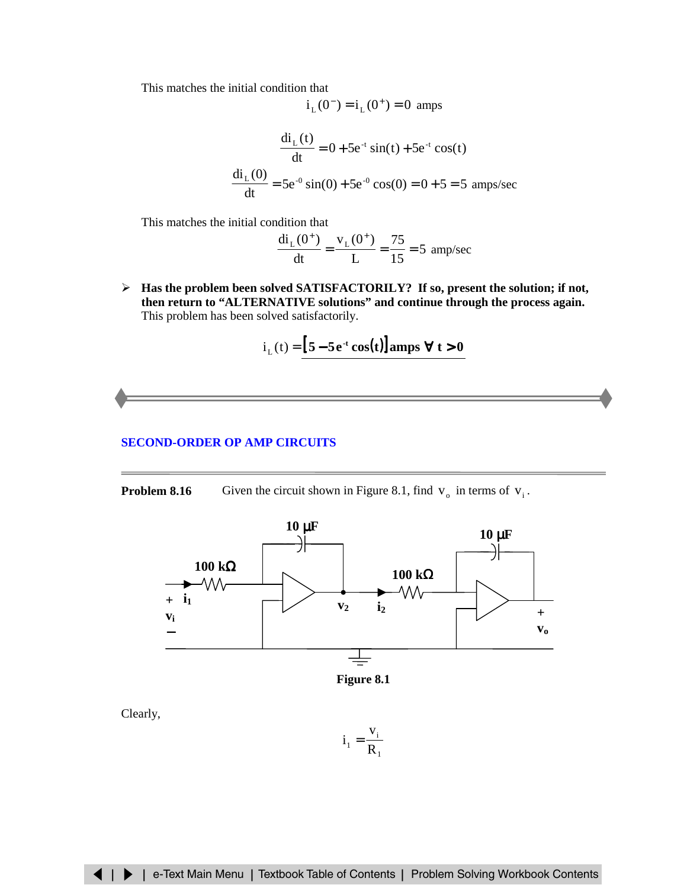<span id="page-26-0"></span>This matches the initial condition that

$$
i_L(0^-) = i_L(0^+) = 0
$$
amps

$$
\frac{di_{L}(t)}{dt} = 0 + 5e^{-t} \sin(t) + 5e^{-t} \cos(t)
$$

$$
\frac{di_{L}(0)}{dt} = 5e^{-0} \sin(0) + 5e^{-0} \cos(0) = 0 + 5 = 5 \text{ amps/sec}
$$

This matches the initial condition that

$$
\frac{di_L(0^+)}{dt} = \frac{v_L(0^+)}{L} = \frac{75}{15} = 5 \text{ amp/sec}
$$

¾ **Has the problem been solved SATISFACTORILY? If so, present the solution; if not, then return to "ALTERNATIVE solutions" and continue through the process again.** This problem has been solved satisfactorily.

$$
i_{L}(t) = [5 - 5e^{-t} \cos(t)] \text{amps } \forall t > 0
$$

#### **[SECOND-ORDER OP](#page-32-0) AMP CIRCUITS**

**Problem 8.16** Given the circuit shown in Figure 8.1, find  $v_0$  in terms of  $v_i$ .



**Figure 8.1**

Clearly,

$$
i_1 = \frac{v_i}{R_1}
$$